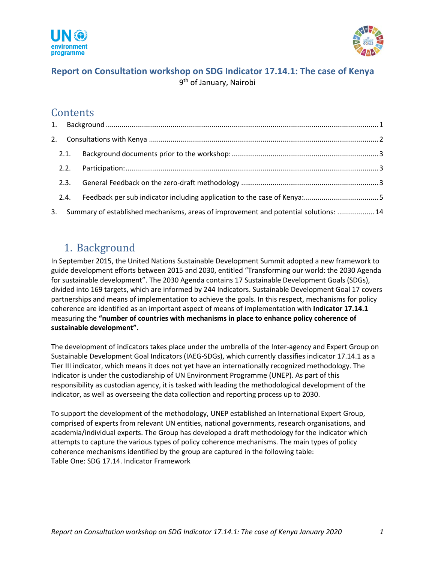



## **Report on Consultation workshop on SDG Indicator 17.14.1: The case of Kenya** 9<sup>th</sup> of January, Nairobi

## **Contents**

|    | 2.1. |                                                                                      |  |
|----|------|--------------------------------------------------------------------------------------|--|
|    | 2.2. |                                                                                      |  |
|    | 2.3. |                                                                                      |  |
|    | 2.4. |                                                                                      |  |
| 3. |      | Summary of established mechanisms, areas of improvement and potential solutions:  14 |  |

## <span id="page-0-0"></span>1. Background

In September 2015, the United Nations Sustainable Development Summit adopted a new framework to guide development efforts between 2015 and 2030, entitled "Transforming our world: the 2030 Agenda for sustainable development". The 2030 Agenda contains 17 Sustainable Development Goals (SDGs), divided into 169 targets, which are informed by 244 Indicators. Sustainable Development Goal 17 covers partnerships and means of implementation to achieve the goals. In this respect, mechanisms for policy coherence are identified as an important aspect of means of implementation with **Indicator 17.14.1**  measuring the **"number of countries with mechanisms in place to enhance policy coherence of sustainable development".** 

The development of indicators takes place under the umbrella of the Inter-agency and Expert Group on Sustainable Development Goal Indicators (IAEG-SDGs), which currently classifies indicator 17.14.1 as a Tier III indicator, which means it does not yet have an internationally recognized methodology. The Indicator is under the custodianship of UN Environment Programme (UNEP). As part of this responsibility as custodian agency, it is tasked with leading the methodological development of the indicator, as well as overseeing the data collection and reporting process up to 2030.

To support the development of the methodology, UNEP established an International Expert Group, comprised of experts from relevant UN entities, national governments, research organisations, and academia/individual experts. The Group has developed a draft methodology for the indicator which attempts to capture the various types of policy coherence mechanisms. The main types of policy coherence mechanisms identified by the group are captured in the following table: Table One: SDG 17.14. Indicator Framework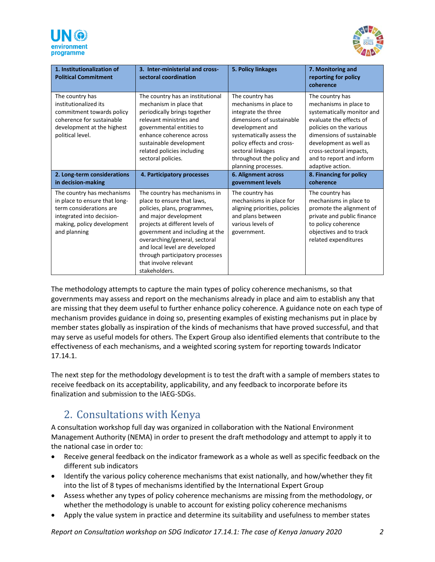



| 1. Institutionalization of<br><b>Political Commitment</b>                                                                                                         | 3. Inter-ministerial and cross-<br>sectoral coordination                                                                                                                                                                                                                                                                                  | 5. Policy linkages                                                                                                                                                                                                                                  | 7. Monitoring and<br>reporting for policy<br>coherence                                                                                                                                                                                                          |
|-------------------------------------------------------------------------------------------------------------------------------------------------------------------|-------------------------------------------------------------------------------------------------------------------------------------------------------------------------------------------------------------------------------------------------------------------------------------------------------------------------------------------|-----------------------------------------------------------------------------------------------------------------------------------------------------------------------------------------------------------------------------------------------------|-----------------------------------------------------------------------------------------------------------------------------------------------------------------------------------------------------------------------------------------------------------------|
| The country has<br>institutionalized its<br>commitment towards policy<br>coherence for sustainable<br>development at the highest<br>political level.              | The country has an institutional<br>mechanism in place that<br>periodically brings together<br>relevant ministries and<br>governmental entities to<br>enhance coherence across<br>sustainable development<br>related policies including<br>sectoral policies.                                                                             | The country has<br>mechanisms in place to<br>integrate the three<br>dimensions of sustainable<br>development and<br>systematically assess the<br>policy effects and cross-<br>sectoral linkages<br>throughout the policy and<br>planning processes. | The country has<br>mechanisms in place to<br>systematically monitor and<br>evaluate the effects of<br>policies on the various<br>dimensions of sustainable<br>development as well as<br>cross-sectoral impacts,<br>and to report and inform<br>adaptive action. |
| 2. Long-term considerations<br>in decision-making                                                                                                                 | 4. Participatory processes                                                                                                                                                                                                                                                                                                                | <b>6. Alignment across</b><br>government levels                                                                                                                                                                                                     | 8. Financing for policy<br>coherence                                                                                                                                                                                                                            |
| The country has mechanisms<br>in place to ensure that long-<br>term considerations are<br>integrated into decision-<br>making, policy development<br>and planning | The country has mechanisms in<br>place to ensure that laws,<br>policies, plans, programmes,<br>and major development<br>projects at different levels of<br>government and including at the<br>overarching/general, sectoral<br>and local level are developed<br>through participatory processes<br>that involve relevant<br>stakeholders. | The country has<br>mechanisms in place for<br>aligning priorities, policies<br>and plans between<br>various levels of<br>government.                                                                                                                | The country has<br>mechanisms in place to<br>promote the alignment of<br>private and public finance<br>to policy coherence<br>objectives and to track<br>related expenditures                                                                                   |

The methodology attempts to capture the main types of policy coherence mechanisms, so that governments may assess and report on the mechanisms already in place and aim to establish any that are missing that they deem useful to further enhance policy coherence. A guidance note on each type of mechanism provides guidance in doing so, presenting examples of existing mechanisms put in place by member states globally as inspiration of the kinds of mechanisms that have proved successful, and that may serve as useful models for others. The Expert Group also identified elements that contribute to the effectiveness of each mechanisms, and a weighted scoring system for reporting towards Indicator 17.14.1.

The next step for the methodology development is to test the draft with a sample of members states to receive feedback on its acceptability, applicability, and any feedback to incorporate before its finalization and submission to the IAEG-SDGs.

# <span id="page-1-0"></span>2. Consultations with Kenya

A consultation workshop full day was organized in collaboration with the National Environment Management Authority (NEMA) in order to present the draft methodology and attempt to apply it to the national case in order to:

- Receive general feedback on the indicator framework as a whole as well as specific feedback on the different sub indicators
- Identify the various policy coherence mechanisms that exist nationally, and how/whether they fit into the list of 8 types of mechanisms identified by the International Expert Group
- Assess whether any types of policy coherence mechanisms are missing from the methodology, or whether the methodology is unable to account for existing policy coherence mechanisms
- Apply the value system in practice and determine its suitability and usefulness to member states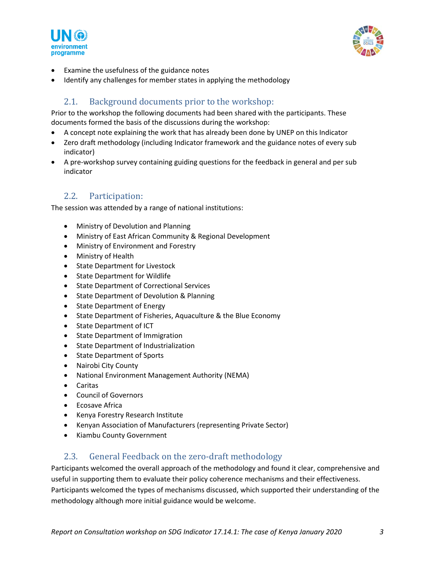



- Examine the usefulness of the guidance notes
- Identify any challenges for member states in applying the methodology

## 2.1. Background documents prior to the workshop:

<span id="page-2-0"></span>Prior to the workshop the following documents had been shared with the participants. These documents formed the basis of the discussions during the workshop:

- A concept note explaining the work that has already been done by UNEP on this Indicator
- Zero draft methodology (including Indicator framework and the guidance notes of every sub indicator)
- A pre-workshop survey containing guiding questions for the feedback in general and per sub indicator

### 2.2. Participation:

<span id="page-2-1"></span>The session was attended by a range of national institutions:

- Ministry of Devolution and Planning
- Ministry of East African Community & Regional Development
- Ministry of Environment and Forestry
- Ministry of Health
- State Department for Livestock
- State Department for Wildlife
- State Department of Correctional Services
- State Department of Devolution & Planning
- State Department of Energy
- State Department of Fisheries, Aquaculture & the Blue Economy
- State Department of ICT
- State Department of Immigration
- State Department of Industrialization
- State Department of Sports
- Nairobi City County
- National Environment Management Authority (NEMA)
- Caritas
- Council of Governors
- Ecosave Africa
- Kenya Forestry Research Institute
- Kenyan Association of Manufacturers (representing Private Sector)
- Kiambu County Government

### 2.3. General Feedback on the zero-draft methodology

<span id="page-2-2"></span>Participants welcomed the overall approach of the methodology and found it clear, comprehensive and useful in supporting them to evaluate their policy coherence mechanisms and their effectiveness. Participants welcomed the types of mechanisms discussed, which supported their understanding of the methodology although more initial guidance would be welcome.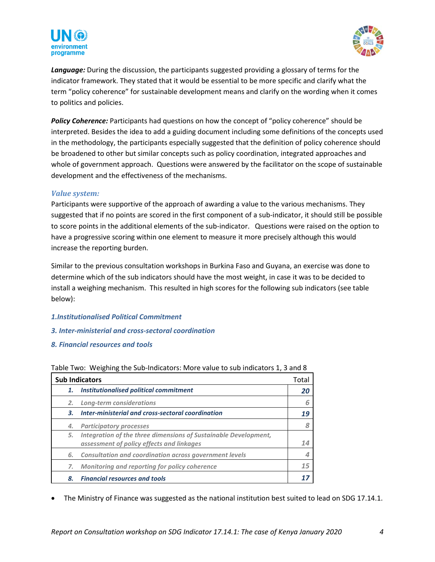



*Language:* During the discussion, the participants suggested providing a glossary of terms for the indicator framework. They stated that it would be essential to be more specific and clarify what the term "policy coherence" for sustainable development means and clarify on the wording when it comes to politics and policies.

**Policy Coherence:** Participants had questions on how the concept of "policy coherence" should be interpreted. Besides the idea to add a guiding document including some definitions of the concepts used in the methodology, the participants especially suggested that the definition of policy coherence should be broadened to other but similar concepts such as policy coordination, integrated approaches and whole of government approach. Questions were answered by the facilitator on the scope of sustainable development and the effectiveness of the mechanisms.

#### *Value system:*

Participants were supportive of the approach of awarding a value to the various mechanisms. They suggested that if no points are scored in the first component of a sub-indicator, it should still be possible to score points in the additional elements of the sub-indicator. Questions were raised on the option to have a progressive scoring within one element to measure it more precisely although this would increase the reporting burden.

Similar to the previous consultation workshops in Burkina Faso and Guyana, an exercise was done to determine which of the sub indicators should have the most weight, in case it was to be decided to install a weighing mechanism. This resulted in high scores for the following sub indicators (see table below):

- *1.Institutionalised Political Commitment*
- *3. Inter-ministerial and cross-sectoral coordination*
- *8. Financial resources and tools*

| <b>Sub Indicators</b><br>Total |                                                                                                              |    |  |  |
|--------------------------------|--------------------------------------------------------------------------------------------------------------|----|--|--|
| 1.                             | <b>Institutionalised political commitment</b>                                                                | 20 |  |  |
| 2.                             | Long-term considerations                                                                                     | 6  |  |  |
| 3.                             | Inter-ministerial and cross-sectoral coordination                                                            | 19 |  |  |
| 4.                             | <b>Participatory processes</b>                                                                               |    |  |  |
| 5.                             | Integration of the three dimensions of Sustainable Development,<br>assessment of policy effects and linkages | 14 |  |  |
| 6.                             | <b>Consultation and coordination across government levels</b>                                                |    |  |  |
| 7.                             | Monitoring and reporting for policy coherence                                                                | 15 |  |  |
| 8.                             | <b>Financial resources and tools</b>                                                                         |    |  |  |

#### Table Two: Weighing the Sub-Indicators: More value to sub indicators 1, 3 and 8

• The Ministry of Finance was suggested as the national institution best suited to lead on SDG 17.14.1.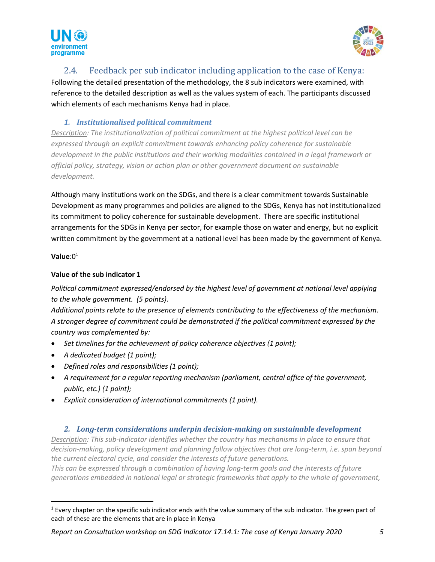



### 2.4. Feedback per sub indicator including application to the case of Kenya:

<span id="page-4-0"></span>Following the detailed presentation of the methodology, the 8 sub indicators were examined, with reference to the detailed description as well as the values system of each. The participants discussed which elements of each mechanisms Kenya had in place.

#### *1. Institutionalised political commitment*

*Description: The institutionalization of political commitment at the highest political level can be expressed through an explicit commitment towards enhancing policy coherence for sustainable development in the public institutions and their working modalities contained in a legal framework or official policy, strategy, vision or action plan or other government document on sustainable development.*

Although many institutions work on the SDGs, and there is a clear commitment towards Sustainable Development as many programmes and policies are aligned to the SDGs, Kenya has not institutionalized its commitment to policy coherence for sustainable development. There are specific institutional arrangements for the SDGs in Kenya per sector, for example those on water and energy, but no explicit written commitment by the government at a national level has been made by the government of Kenya.

#### **Value**:0 1

#### **Value of the sub indicator 1**

*Political commitment expressed/endorsed by the highest level of government at national level applying to the whole government. (5 points).*

*Additional points relate to the presence of elements contributing to the effectiveness of the mechanism. A stronger degree of commitment could be demonstrated if the political commitment expressed by the country was complemented by:* 

- *Set timelines for the achievement of policy coherence objectives (1 point);*
- *A dedicated budget (1 point);*
- *Defined roles and responsibilities (1 point);*
- *A requirement for a regular reporting mechanism (parliament, central office of the government, public, etc.) (1 point);*
- *Explicit consideration of international commitments (1 point).*

#### *2. Long-term considerations underpin decision-making on sustainable development*

*Description: This sub-indicator identifies whether the country has mechanisms in place to ensure that decision-making, policy development and planning follow objectives that are long-term, i.e. span beyond the current electoral cycle, and consider the interests of future generations.* 

*This can be expressed through a combination of having long-term goals and the interests of future generations embedded in national legal or strategic frameworks that apply to the whole of government,* 

 $1$  Every chapter on the specific sub indicator ends with the value summary of the sub indicator. The green part of each of these are the elements that are in place in Kenya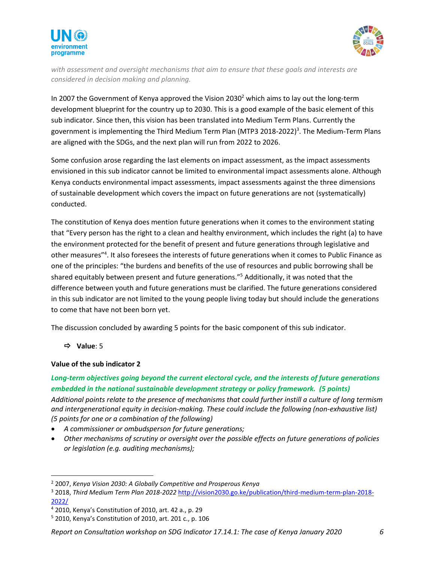



*with assessment and oversight mechanisms that aim to ensure that these goals and interests are considered in decision making and planning.*

In 2007 the Government of Kenya approved the Vision 2030<sup>2</sup> which aims to lay out the long-term development blueprint for the country up to 2030. This is a good example of the basic element of this sub indicator. Since then, this vision has been translated into Medium Term Plans. Currently the government is implementing the Third Medium Term Plan (MTP3 2018-2022)<sup>3</sup>. The Medium-Term Plans are aligned with the SDGs, and the next plan will run from 2022 to 2026.

Some confusion arose regarding the last elements on impact assessment, as the impact assessments envisioned in this sub indicator cannot be limited to environmental impact assessments alone. Although Kenya conducts environmental impact assessments, impact assessments against the three dimensions of sustainable development which covers the impact on future generations are not (systematically) conducted.

The constitution of Kenya does mention future generations when it comes to the environment stating that "Every person has the right to a clean and healthy environment, which includes the right (a) to have the environment protected for the benefit of present and future generations through legislative and other measures"<sup>4</sup>. It also foresees the interests of future generations when it comes to Public Finance as one of the principles: "the burdens and benefits of the use of resources and public borrowing shall be shared equitably between present and future generations." <sup>5</sup> Additionally, it was noted that the difference between youth and future generations must be clarified. The future generations considered in this sub indicator are not limited to the young people living today but should include the generations to come that have not been born yet.

The discussion concluded by awarding 5 points for the basic component of this sub indicator.

#### **Value**: 5

#### **Value of the sub indicator 2**

#### *Long-term objectives going beyond the current electoral cycle, and the interests of future generations embedded in the national sustainable development strategy or policy framework. (5 points)*

*Additional points relate to the presence of mechanisms that could further instill a culture of long termism and intergenerational equity in decision-making. These could include the following (non-exhaustive list) (5 points for one or a combination of the following)*

- *A commissioner or ombudsperson for future generations;*
- *Other mechanisms of scrutiny or oversight over the possible effects on future generations of policies or legislation (e.g. auditing mechanisms);*

#### *Report on Consultation workshop on SDG Indicator 17.14.1: The case of Kenya January 2020 6*

<sup>2</sup> 2007, *Kenya Vision 2030: A Globally Competitive and Prosperous Kenya*

<sup>3</sup> 2018, *Third Medium Term Plan 2018-2022* [http://vision2030.go.ke/publication/third-medium-term-plan-2018-](http://vision2030.go.ke/publication/third-medium-term-plan-2018-2022/) [2022/](http://vision2030.go.ke/publication/third-medium-term-plan-2018-2022/)

<sup>4</sup> 2010, Kenya's Constitution of 2010, art. 42 a., p. 29

<sup>5</sup> 2010, Kenya's Constitution of 2010, art. 201 c., p. 106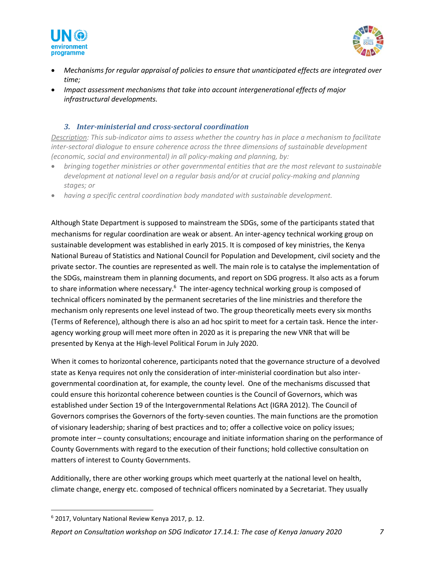



- *Mechanisms for regular appraisal of policies to ensure that unanticipated effects are integrated over time;*
- *Impact assessment mechanisms that take into account intergenerational effects of major infrastructural developments.*

#### *3. Inter-ministerial and cross-sectoral coordination*

*Description: This sub-indicator aims to assess whether the country has in place a mechanism to facilitate inter-sectoral dialogue to ensure coherence across the three dimensions of sustainable development (economic, social and environmental) in all policy-making and planning, by:*

- *bringing together ministries or other governmental entities that are the most relevant to sustainable*  development at national level on a regular basis and/or at crucial policy-making and planning *stages; or*
- *having a specific central coordination body mandated with sustainable development.*

Although State Department is supposed to mainstream the SDGs, some of the participants stated that mechanisms for regular coordination are weak or absent. An inter-agency technical working group on sustainable development was established in early 2015. It is composed of key ministries, the Kenya National Bureau of Statistics and National Council for Population and Development, civil society and the private sector. The counties are represented as well. The main role is to catalyse the implementation of the SDGs, mainstream them in planning documents, and report on SDG progress. It also acts as a forum to share information where necessary.<sup>6</sup> The inter-agency technical working group is composed of technical officers nominated by the permanent secretaries of the line ministries and therefore the mechanism only represents one level instead of two. The group theoretically meets every six months (Terms of Reference), although there is also an ad hoc spirit to meet for a certain task. Hence the interagency working group will meet more often in 2020 as it is preparing the new VNR that will be presented by Kenya at the High-level Political Forum in July 2020.

When it comes to horizontal coherence, participants noted that the governance structure of a devolved state as Kenya requires not only the consideration of inter-ministerial coordination but also intergovernmental coordination at, for example, the county level. One of the mechanisms discussed that could ensure this horizontal coherence between counties is the Council of Governors, which was established under Section 19 of the Intergovernmental Relations Act (IGRA 2012). The Council of Governors comprises the Governors of the forty-seven counties. The main functions are the promotion of visionary leadership; sharing of best practices and to; offer a collective voice on policy issues; promote inter – county consultations; encourage and initiate information sharing on the performance of County Governments with regard to the execution of their functions; hold collective consultation on matters of interest to County Governments.

Additionally, there are other working groups which meet quarterly at the national level on health, climate change, energy etc. composed of technical officers nominated by a Secretariat. They usually

<sup>6</sup> 2017, Voluntary National Review Kenya 2017, p. 12.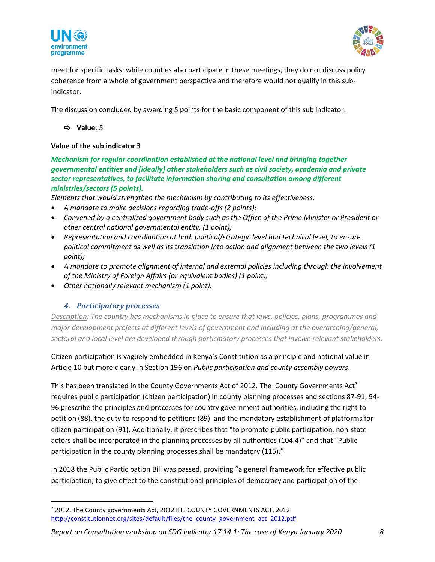



meet for specific tasks; while counties also participate in these meetings, they do not discuss policy coherence from a whole of government perspective and therefore would not qualify in this subindicator.

The discussion concluded by awarding 5 points for the basic component of this sub indicator.

**Value**: 5

#### **Value of the sub indicator 3**

*Mechanism for regular coordination established at the national level and bringing together governmental entities and [ideally] other stakeholders such as civil society, academia and private sector representatives, to facilitate information sharing and consultation among different ministries/sectors (5 points).*

*Elements that would strengthen the mechanism by contributing to its effectiveness:* 

- *A mandate to make decisions regarding trade-offs (2 points);*
- *Convened by a centralized government body such as the Office of the Prime Minister or President or other central national governmental entity. (1 point);*
- *Representation and coordination at both political/strategic level and technical level, to ensure political commitment as well as its translation into action and alignment between the two levels (1 point);*
- *A mandate to promote alignment of internal and external policies including through the involvement of the Ministry of Foreign Affairs (or equivalent bodies) (1 point);*
- *Other nationally relevant mechanism (1 point).*

#### *4. Participatory processes*

*Description: The country has mechanisms in place to ensure that laws, policies, plans, programmes and major development projects at different levels of government and including at the overarching/general, sectoral and local level are developed through participatory processes that involve relevant stakeholders.*

Citizen participation is vaguely embedded in Kenya's Constitution as a principle and national value in Article 10 but more clearly in Section 196 on *Public participation and county assembly powers*.

This has been translated in the County Governments Act of 2012. The County Governments Act<sup>7</sup> requires public participation (citizen participation) in county planning processes and sections 87-91, 94- 96 prescribe the principles and processes for country government authorities, including the right to petition (88), the duty to respond to petitions (89) and the mandatory establishment of platforms for citizen participation (91). Additionally, it prescribes that "to promote public participation, non-state actors shall be incorporated in the planning processes by all authorities (104.4)" and that "Public participation in the county planning processes shall be mandatory (115)."

In 2018 the Public Participation Bill was passed, providing "a general framework for effective public participation; to give effect to the constitutional principles of democracy and participation of the

<sup>&</sup>lt;sup>7</sup> 2012, The County governments Act, 2012THE COUNTY GOVERNMENTS ACT, 2012 [http://constitutionnet.org/sites/default/files/the\\_county\\_government\\_act\\_2012.pdf](http://constitutionnet.org/sites/default/files/the_county_government_act_2012.pdf)

*Report on Consultation workshop on SDG Indicator 17.14.1: The case of Kenya January 2020 8*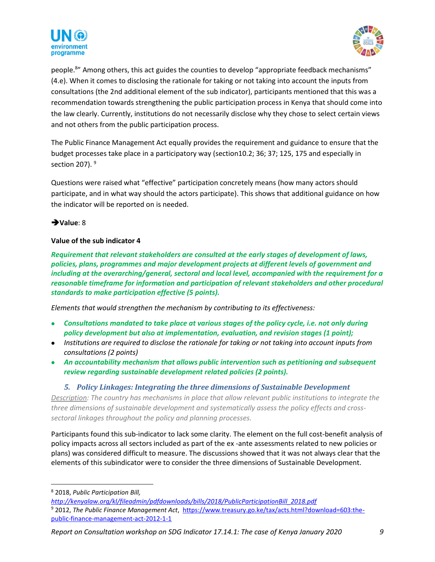



people.<sup>8</sup>" Among others, this act guides the counties to develop "appropriate feedback mechanisms" (4.e). When it comes to disclosing the rationale for taking or not taking into account the inputs from consultations (the 2nd additional element of the sub indicator), participants mentioned that this was a recommendation towards strengthening the public participation process in Kenya that should come into the law clearly. Currently, institutions do not necessarily disclose why they chose to select certain views and not others from the public participation process.

The Public Finance Management Act equally provides the requirement and guidance to ensure that the budget processes take place in a participatory way (section10.2; 36; 37; 125, 175 and especially in section 207).  $9$ 

Questions were raised what "effective" participation concretely means (how many actors should participate, and in what way should the actors participate). This shows that additional guidance on how the indicator will be reported on is needed.

#### ➔**Value**: 8

#### **Value of the sub indicator 4**

*Requirement that relevant stakeholders are consulted at the early stages of development of laws, policies, plans, programmes and major development projects at different levels of government and including at the overarching/general, sectoral and local level, accompanied with the requirement for a reasonable timeframe for information and participation of relevant stakeholders and other procedural standards to make participation effective (5 points).*

*Elements that would strengthen the mechanism by contributing to its effectiveness:*

- *Consultations mandated to take place at various stages of the policy cycle, i.e. not only during policy development but also at implementation, evaluation, and revision stages (1 point);*
- *Institutions are required to disclose the rationale for taking or not taking into account inputs from consultations (2 points)*
- *An accountability mechanism that allows public intervention such as petitioning and subsequent review regarding sustainable development related policies (2 points).*

#### *5. Policy Linkages: Integrating the three dimensions of Sustainable Development*

*Description: The country has mechanisms in place that allow relevant public institutions to integrate the three dimensions of sustainable development and systematically assess the policy effects and crosssectoral linkages throughout the policy and planning processes.* 

Participants found this sub-indicator to lack some clarity. The element on the full cost-benefit analysis of policy impacts across all sectors included as part of the ex -ante assessments related to new policies or plans) was considered difficult to measure. The discussions showed that it was not always clear that the elements of this subindicator were to consider the three dimensions of Sustainable Development.

<sup>8</sup> 2018, *Public Participation Bill,* 

*[http://kenyalaw.org/kl/fileadmin/pdfdownloads/bills/2018/PublicParticipationBill\\_2018.pdf](http://kenyalaw.org/kl/fileadmin/pdfdownloads/bills/2018/PublicParticipationBill_2018.pdf)*

<sup>9</sup> 2012, *The Public Finance Management Act*, [https://www.treasury.go.ke/tax/acts.html?download=603:the](https://www.treasury.go.ke/tax/acts.html?download=603:the-public-finance-management-act-2012-1-1)[public-finance-management-act-2012-1-1](https://www.treasury.go.ke/tax/acts.html?download=603:the-public-finance-management-act-2012-1-1)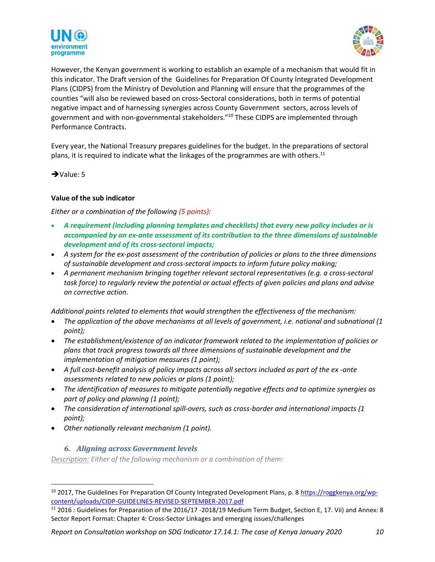



However, the Kenyan government is working to establish an example of a mechanism that would fit in this indicator. The Draft version of the Guidelines for Preparation Of County Integrated Development Plans (CIDPS) from the Ministry of Devolution and Planning will ensure that the programmes of the counties "will also be reviewed based on cross-Sectoral considerations, both in terms of potential negative impact and of harnessing synergies across County Government sectors, across levels of government and with non-governmental stakeholders."<sup>10</sup> These CIDPS are implemented through Performance Contracts.

Every year, the National Treasury prepares guidelines for the budget. In the preparations of sectoral plans, it is required to indicate what the linkages of the programmes are with others.<sup>11</sup>

➔Value: 5

#### **Value of the sub indicator**

#### *Either or a combination of the following (5 points):*

- *A requirement (including planning templates and checklists) that every new policy includes or is accompanied by an ex-ante assessment of its contribution to the three dimensions of sustainable development and of its cross-sectoral impacts;*
- *A system for the ex-post assessment of the contribution of policies or plans to the three dimensions of sustainable development and cross-sectoral impacts to inform future policy making;*
- *A permanent mechanism bringing together relevant sectoral representatives (e.g. a cross-sectoral task force) to regularly review the potential or actual effects of given policies and plans and advise on corrective action.*

*Additional points related to elements that would strengthen the effectiveness of the mechanism:*

- *The application of the above mechanisms at all levels of government, i.e. national and subnational (1 point);*
- *The establishment/existence of an indicator framework related to the implementation of policies or plans that track progress towards all three dimensions of sustainable development and the implementation of mitigation measures (1 point);*
- *A full cost-benefit analysis of policy impacts across all sectors included as part of the ex -ante assessments related to new policies or plans (1 point);*
- *The identification of measures to mitigate potentially negative effects and to optimize synergies as part of policy and planning (1 point);*
- *The consideration of international spill-overs, such as cross-border and international impacts (1 point);*
- *Other nationally relevant mechanism (1 point).*

#### *6. Aligning across Government levels*

*Description: Either of the following mechanism or a combination of them:*

<sup>&</sup>lt;sup>10</sup> 2017, The Guidelines For Preparation Of County Integrated Development Plans, p. 8 [https://roggkenya.org/wp](https://roggkenya.org/wp-content/uploads/CIDP-GUIDELINES-REVISED-SEPTEMBER-2017.pdf)[content/uploads/CIDP-GUIDELINES-REVISED-SEPTEMBER-2017.pdf](https://roggkenya.org/wp-content/uploads/CIDP-GUIDELINES-REVISED-SEPTEMBER-2017.pdf)

<sup>&</sup>lt;sup>11</sup> 2016 : Guidelines for Preparation of the 2016/17 -2018/19 Medium Term Budget, Section E, 17. Vii) and Annex: 8 Sector Report Format: Chapter 4: Cross-Sector Linkages and emerging issues/challenges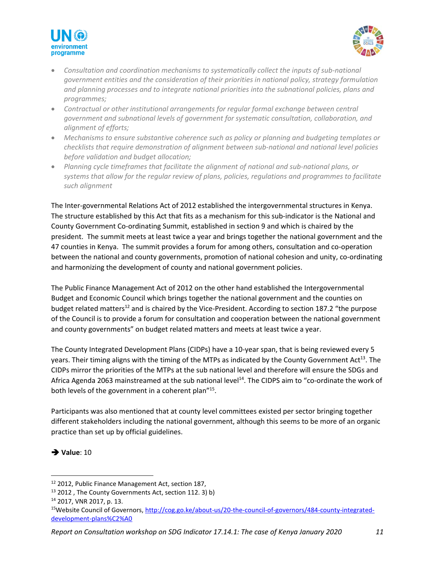



- *Consultation and coordination mechanisms to systematically collect the inputs of sub-national government entities and the consideration of their priorities in national policy, strategy formulation and planning processes and to integrate national priorities into the subnational policies, plans and programmes;*
- *Contractual or other institutional arrangements for regular formal exchange between central government and subnational levels of government for systematic consultation, collaboration, and alignment of efforts;*
- *Mechanisms to ensure substantive coherence such as policy or planning and budgeting templates or checklists that require demonstration of alignment between sub-national and national level policies before validation and budget allocation;*
- *Planning cycle timeframes that facilitate the alignment of national and sub-national plans, or systems that allow for the regular review of plans, policies, regulations and programmes to facilitate such alignment*

The Inter-governmental Relations Act of 2012 established the intergovernmental structures in Kenya. The structure established by this Act that fits as a mechanism for this sub-indicator is the National and County Government Co-ordinating Summit, established in section 9 and which is chaired by the president. The summit meets at least twice a year and brings together the national government and the 47 counties in Kenya. The summit provides a forum for among others, consultation and co-operation between the national and county governments, promotion of national cohesion and unity, co-ordinating and harmonizing the development of county and national government policies.

The Public Finance Management Act of 2012 on the other hand established the Intergovernmental Budget and Economic Council which brings together the national government and the counties on budget related matters<sup>12</sup> and is chaired by the Vice-President. According to section 187.2 "the purpose of the Council is to provide a forum for consultation and cooperation between the national government and county governments" on budget related matters and meets at least twice a year.

The County Integrated Development Plans (CIDPs) have a 10-year span, that is being reviewed every 5 years. Their timing aligns with the timing of the MTPs as indicated by the County Government Act<sup>13</sup>. The CIDPs mirror the priorities of the MTPs at the sub national level and therefore will ensure the SDGs and Africa Agenda 2063 mainstreamed at the sub national level<sup>14</sup>. The CIDPS aim to "co-ordinate the work of both levels of the government in a coherent plan"<sup>15</sup>.

Participants was also mentioned that at county level committees existed per sector bringing together different stakeholders including the national government, although this seems to be more of an organic practice than set up by official guidelines.



<sup>12</sup> 2012, Public Finance Management Act, section 187,

 $13$  2012, The County Governments Act, section 112. 3) b)

<sup>14</sup> 2017, VNR 2017, p. 13.

<sup>15</sup>Website Council of Governors, [http://cog.go.ke/about-us/20-the-council-of-governors/484-county-integrated](http://cog.go.ke/about-us/20-the-council-of-governors/484-county-integrated-development-plans%C2%A0)[development-plans%C2%A0](http://cog.go.ke/about-us/20-the-council-of-governors/484-county-integrated-development-plans%C2%A0)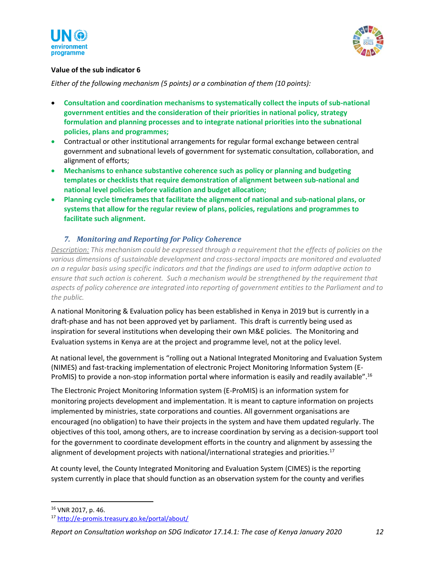



#### **Value of the sub indicator 6**

*Either of the following mechanism (5 points) or a combination of them (10 points):*

- **Consultation and coordination mechanisms to systematically collect the inputs of sub-national government entities and the consideration of their priorities in national policy, strategy formulation and planning processes and to integrate national priorities into the subnational policies, plans and programmes;**
- Contractual or other institutional arrangements for regular formal exchange between central government and subnational levels of government for systematic consultation, collaboration, and alignment of efforts;
- **Mechanisms to enhance substantive coherence such as policy or planning and budgeting templates or checklists that require demonstration of alignment between sub-national and national level policies before validation and budget allocation;**
- **Planning cycle timeframes that facilitate the alignment of national and sub-national plans, or systems that allow for the regular review of plans, policies, regulations and programmes to facilitate such alignment.**

#### *7. Monitoring and Reporting for Policy Coherence*

*Description: This mechanism could be expressed through a requirement that the effects of policies on the various dimensions of sustainable development and cross-sectoral impacts are monitored and evaluated on a regular basis using specific indicators and that the findings are used to inform adaptive action to ensure that such action is coherent. Such a mechanism would be strengthened by the requirement that aspects of policy coherence are integrated into reporting of government entities to the Parliament and to the public.*

A national Monitoring & Evaluation policy has been established in Kenya in 2019 but is currently in a draft-phase and has not been approved yet by parliament. This draft is currently being used as inspiration for several institutions when developing their own M&E policies. The Monitoring and Evaluation systems in Kenya are at the project and programme level, not at the policy level.

At national level, the government is "rolling out a National Integrated Monitoring and Evaluation System (NIMES) and fast-tracking implementation of electronic Project Monitoring Information System (E-ProMIS) to provide a non-stop information portal where information is easily and readily available".<sup>16</sup>

The Electronic Project Monitoring Information system (E-ProMIS) is an information system for monitoring projects development and implementation. It is meant to capture information on projects implemented by ministries, state corporations and counties. All government organisations are encouraged (no obligation) to have their projects in the system and have them updated regularly. The objectives of this tool, among others, are to increase coordination by serving as a decision-support tool for the government to coordinate development efforts in the country and alignment by assessing the alignment of development projects with national/international strategies and priorities.<sup>17</sup>

At county level, the County Integrated Monitoring and Evaluation System (CIMES) is the reporting system currently in place that should function as an observation system for the county and verifies

<sup>16</sup> VNR 2017, p. 46.

<sup>17</sup> <http://e-promis.treasury.go.ke/portal/about/>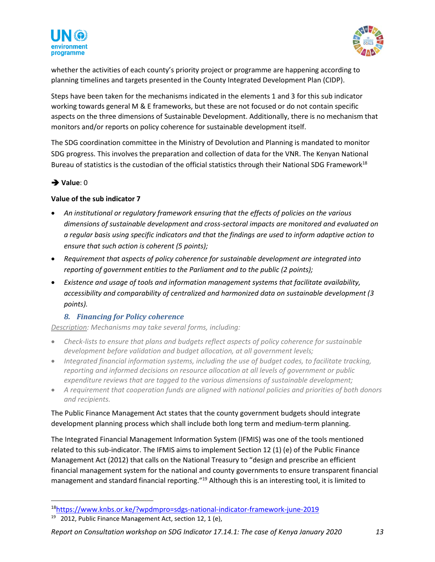



whether the activities of each county's priority project or programme are happening according to planning timelines and targets presented in the County Integrated Development Plan (CIDP).

Steps have been taken for the mechanisms indicated in the elements 1 and 3 for this sub indicator working towards general M & E frameworks, but these are not focused or do not contain specific aspects on the three dimensions of Sustainable Development. Additionally, there is no mechanism that monitors and/or reports on policy coherence for sustainable development itself.

The SDG coordination committee in the Ministry of Devolution and Planning is mandated to monitor SDG progress. This involves the preparation and collection of data for the VNR. The Kenyan National Bureau of statistics is the custodian of the official statistics through their National SDG Framework<sup>18</sup>

#### ➔ **Value**: 0

#### **Value of the sub indicator 7**

- *An institutional or regulatory framework ensuring that the effects of policies on the various dimensions of sustainable development and cross-sectoral impacts are monitored and evaluated on a regular basis using specific indicators and that the findings are used to inform adaptive action to ensure that such action is coherent (5 points);*
- *Requirement that aspects of policy coherence for sustainable development are integrated into reporting of government entities to the Parliament and to the public (2 points);*
- *Existence and usage of tools and information management systems that facilitate availability, accessibility and comparability of centralized and harmonized data on sustainable development (3 points).*

#### *8. Financing for Policy coherence*

*Description: Mechanisms may take several forms, including:*

- *Check-lists to ensure that plans and budgets reflect aspects of policy coherence for sustainable development before validation and budget allocation, at all government levels;*
- *Integrated financial information systems, including the use of budget codes, to facilitate tracking, reporting and informed decisions on resource allocation at all levels of government or public expenditure reviews that are tagged to the various dimensions of sustainable development;*
- *A requirement that cooperation funds are aligned with national policies and priorities of both donors and recipients.*

The Public Finance Management Act states that the county government budgets should integrate development planning process which shall include both long term and medium-term planning.

The Integrated Financial Management Information System (IFMIS) was one of the tools mentioned related to this sub-indicator. The IFMIS aims to implement Section 12 (1) (e) of the Public Finance Management Act (2012) that calls on the National Treasury to "design and prescribe an efficient financial management system for the national and county governments to ensure transparent financial management and standard financial reporting."<sup>19</sup> Although this is an interesting tool, it is limited to

<sup>18</sup><https://www.knbs.or.ke/?wpdmpro=sdgs-national-indicator-framework-june-2019>

<sup>&</sup>lt;sup>19</sup> 2012, Public Finance Management Act, section 12, 1 (e),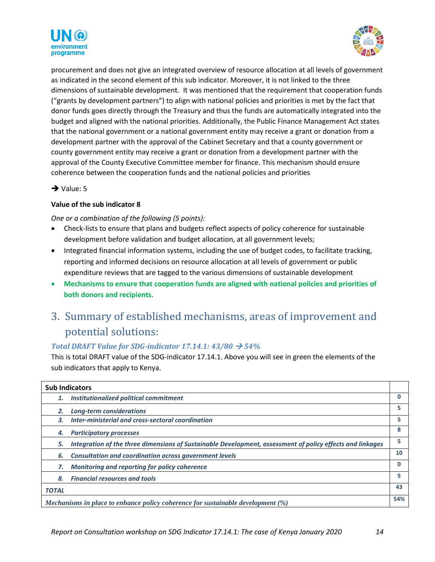



procurement and does not give an integrated overview of resource allocation at all levels of government as indicated in the second element of this sub indicator. Moreover, it is not linked to the three dimensions of sustainable development. It was mentioned that the requirement that cooperation funds ("grants by development partners") to align with national policies and priorities is met by the fact that donor funds goes directly through the Treasury and thus the funds are automatically integrated into the budget and aligned with the national priorities. Additionally, the Public Finance Management Act states that the national government or a national government entity may receive a grant or donation from a development partner with the approval of the Cabinet Secretary and that a county government or county government entity may receive a grant or donation from a development partner with the approval of the County Executive Committee member for finance. This mechanism should ensure coherence between the cooperation funds and the national policies and priorities

➔ Value: 5

#### **Value of the sub indicator 8**

*One or a combination of the following (5 points):*

- Check-lists to ensure that plans and budgets reflect aspects of policy coherence for sustainable development before validation and budget allocation, at all government levels;
- Integrated financial information systems, including the use of budget codes, to facilitate tracking, reporting and informed decisions on resource allocation at all levels of government or public expenditure reviews that are tagged to the various dimensions of sustainable development
- **Mechanisms to ensure that cooperation funds are aligned with national policies and priorities of both donors and recipients.**

## <span id="page-13-0"></span>3. Summary of established mechanisms, areas of improvement and potential solutions:

#### *Total DRAFT Value for SDG-indicator 17.14.1:*  $43/80 \rightarrow 54\%$

This is total DRAFT value of the SDG-indicator 17.14.1. Above you will see in green the elements of the sub indicators that apply to Kenya.

| <b>Sub Indicators</b>                                                              |                                                                                                           |    |  |
|------------------------------------------------------------------------------------|-----------------------------------------------------------------------------------------------------------|----|--|
| 1.                                                                                 | <b>Institutionalized political commitment</b>                                                             | 0  |  |
|                                                                                    | Long-term considerations                                                                                  | 5  |  |
| 3.                                                                                 | Inter-ministerial and cross-sectoral coordination                                                         | 5  |  |
|                                                                                    | <b>Participatory processes</b>                                                                            | 8  |  |
| 5.                                                                                 | Integration of the three dimensions of Sustainable Development, assessment of policy effects and linkages | 5  |  |
| 6.                                                                                 | <b>Consultation and coordination across government levels</b>                                             | 10 |  |
|                                                                                    | Monitoring and reporting for policy coherence                                                             | 0  |  |
| 8.                                                                                 | <b>Financial resources and tools</b>                                                                      | 5. |  |
| <b>TOTAL</b>                                                                       |                                                                                                           | 43 |  |
| Mechanisms in place to enhance policy coherence for sustainable development $(\%)$ |                                                                                                           |    |  |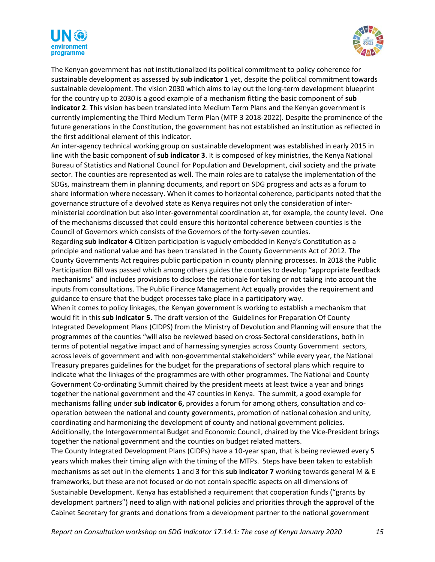



The Kenyan government has not institutionalized its political commitment to policy coherence for sustainable development as assessed by **sub indicator 1** yet, despite the political commitment towards sustainable development. The vision 2030 which aims to lay out the long-term development blueprint for the country up to 2030 is a good example of a mechanism fitting the basic component of **sub indicator 2**. This vision has been translated into Medium Term Plans and the Kenyan government is currently implementing the Third Medium Term Plan (MTP 3 2018-2022). Despite the prominence of the future generations in the Constitution, the government has not established an institution as reflected in the first additional element of this indicator.

An inter-agency technical working group on sustainable development was established in early 2015 in line with the basic component of **sub indicator 3**. It is composed of key ministries, the Kenya National Bureau of Statistics and National Council for Population and Development, civil society and the private sector. The counties are represented as well. The main roles are to catalyse the implementation of the SDGs, mainstream them in planning documents, and report on SDG progress and acts as a forum to share information where necessary. When it comes to horizontal coherence, participants noted that the governance structure of a devolved state as Kenya requires not only the consideration of interministerial coordination but also inter-governmental coordination at, for example, the county level. One of the mechanisms discussed that could ensure this horizontal coherence between counties is the Council of Governors which consists of the Governors of the forty-seven counties.

Regarding **sub indicator 4** Citizen participation is vaguely embedded in Kenya's Constitution as a principle and national value and has been translated in the County Governments Act of 2012. The County Governments Act requires public participation in county planning processes. In 2018 the Public Participation Bill was passed which among others guides the counties to develop "appropriate feedback mechanisms" and includes provisions to disclose the rationale for taking or not taking into account the inputs from consultations. The Public Finance Management Act equally provides the requirement and guidance to ensure that the budget processes take place in a participatory way.

When it comes to policy linkages, the Kenyan government is working to establish a mechanism that would fit in this **sub indicator 5.** The draft version of the Guidelines for Preparation Of County Integrated Development Plans (CIDPS) from the Ministry of Devolution and Planning will ensure that the programmes of the counties "will also be reviewed based on cross-Sectoral considerations, both in terms of potential negative impact and of harnessing synergies across County Government sectors, across levels of government and with non-governmental stakeholders" while every year, the National Treasury prepares guidelines for the budget for the preparations of sectoral plans which require to indicate what the linkages of the programmes are with other programmes. The National and County Government Co-ordinating Summit chaired by the president meets at least twice a year and brings together the national government and the 47 counties in Kenya. The summit, a good example for mechanisms falling under **sub indicator 6,** provides a forum for among others, consultation and cooperation between the national and county governments, promotion of national cohesion and unity, coordinating and harmonizing the development of county and national government policies. Additionally, the Intergovernmental Budget and Economic Council, chaired by the Vice-President brings together the national government and the counties on budget related matters.

The County Integrated Development Plans (CIDPs) have a 10-year span, that is being reviewed every 5 years which makes their timing align with the timing of the MTPs. Steps have been taken to establish mechanisms as set out in the elements 1 and 3 for this **sub indicator 7** working towards general M & E frameworks, but these are not focused or do not contain specific aspects on all dimensions of Sustainable Development. Kenya has established a requirement that cooperation funds ("grants by development partners") need to align with national policies and priorities through the approval of the Cabinet Secretary for grants and donations from a development partner to the national government